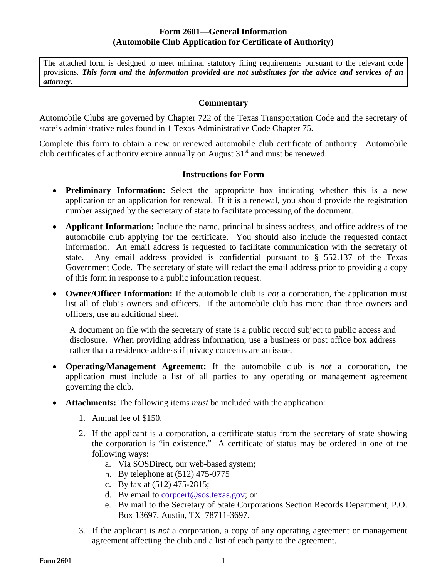The attached form is designed to meet minimal statutory filing requirements pursuant to the relevant code provisions. *This form and the information provided are not substitutes for the advice and services of an attorney.*

## **Commentary**

Automobile Clubs are governed by Chapter 722 of the Texas Transportation Code and the secretary of state's administrative rules found in 1 Texas Administrative Code Chapter 75.

Complete this form to obtain a new or renewed automobile club certificate of authority. Automobile club certificates of authority expire annually on August  $31<sup>st</sup>$  and must be renewed.

## **Instructions for Form**

- **Preliminary Information:** Select the appropriate box indicating whether this is a new application or an application for renewal. If it is a renewal, you should provide the registration number assigned by the secretary of state to facilitate processing of the document.
- **Applicant Information:** Include the name, principal business address, and office address of the automobile club applying for the certificate. You should also include the requested contact information. An email address is requested to facilitate communication with the secretary of state. Any email address provided is confidential pursuant to § 552.137 of the Texas Government Code. The secretary of state will redact the email address prior to providing a copy of this form in response to a public information request.
- **Owner/Officer Information:** If the automobile club is *not* a corporation, the application must list all of club's owners and officers. If the automobile club has more than three owners and officers, use an additional sheet.

A document on file with the secretary of state is a public record subject to public access and disclosure. When providing address information, use a business or post office box address rather than a residence address if privacy concerns are an issue.

- **Operating/Management Agreement:** If the automobile club is *not* a corporation, the application must include a list of all parties to any operating or management agreement governing the club.
- **Attachments:** The following items *must* be included with the application:
	- 1. Annual fee of \$150.
	- 2. If the applicant is a corporation, a certificate status from the secretary of state showing the corporation is "in existence." A certificate of status may be ordered in one of the following ways:
		- a. Via SOSDirect, our web-based system;
		- b. By telephone at (512) 475-0775
		- c. By fax at (512) 475-2815;
		- d. By email to [corpcert@sos.texas.gov](mailto:corpcert@sos.state.tx.us); or
		- e. By mail to the Secretary of State Corporations Section Records Department, P.O. Box 13697, Austin, TX 78711-3697.
	- 3. If the applicant is *not* a corporation, a copy of any operating agreement or management agreement affecting the club and a list of each party to the agreement.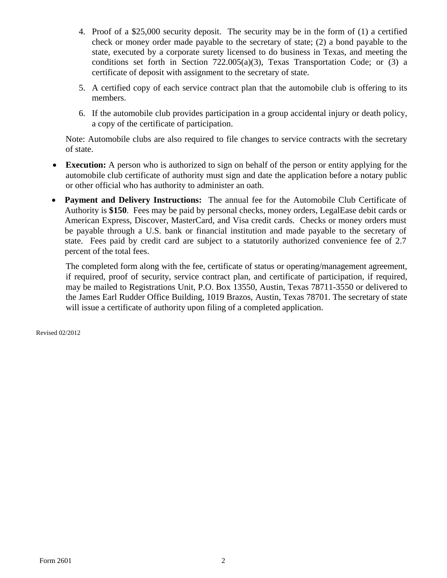- 4. Proof of a \$25,000 security deposit. The security may be in the form of (1) a certified check or money order made payable to the secretary of state; (2) a bond payable to the state, executed by a corporate surety licensed to do business in Texas, and meeting the conditions set forth in Section  $722.005(a)(3)$ , Texas Transportation Code; or (3) a certificate of deposit with assignment to the secretary of state.
- 5. A certified copy of each service contract plan that the automobile club is offering to its members.
- 6. If the automobile club provides participation in a group accidental injury or death policy, a copy of the certificate of participation.

Note: Automobile clubs are also required to file changes to service contracts with the secretary of state.

- **Execution:** A person who is authorized to sign on behalf of the person or entity applying for the automobile club certificate of authority must sign and date the application before a notary public or other official who has authority to administer an oath.
- **Payment and Delivery Instructions:** The annual fee for the Automobile Club Certificate of Authority is **\$150**. Fees may be paid by personal checks, money orders, LegalEase debit cards or American Express, Discover, MasterCard, and Visa credit cards. Checks or money orders must be payable through a U.S. bank or financial institution and made payable to the secretary of state. Fees paid by credit card are subject to a statutorily authorized convenience fee of 2.7 percent of the total fees.

The completed form along with the fee, certificate of status or operating/management agreement, if required, proof of security, service contract plan, and certificate of participation, if required, may be mailed to Registrations Unit, P.O. Box 13550, Austin, Texas 78711-3550 or delivered to the James Earl Rudder Office Building, 1019 Brazos, Austin, Texas 78701. The secretary of state will issue a certificate of authority upon filing of a completed application.

Revised 02/2012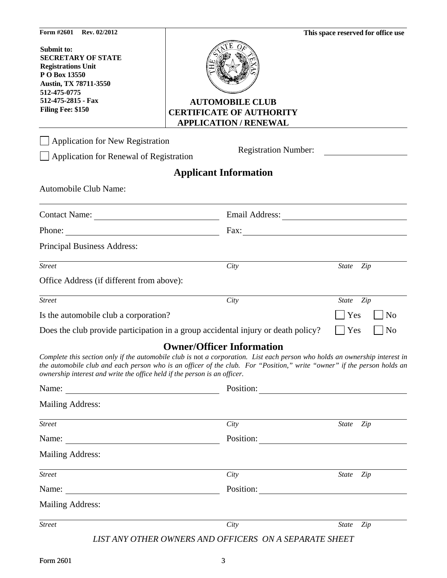| Form #2601<br>Rev. 02/2012                                                                                                                                                |                                                                                                                                                                                                                                                                                            | This space reserved for office use |
|---------------------------------------------------------------------------------------------------------------------------------------------------------------------------|--------------------------------------------------------------------------------------------------------------------------------------------------------------------------------------------------------------------------------------------------------------------------------------------|------------------------------------|
| Submit to:<br><b>SECRETARY OF STATE</b><br><b>Registrations Unit</b><br>P O Box 13550<br>Austin, TX 78711-3550<br>512-475-0775<br>512-475-2815 - Fax<br>Filing Fee: \$150 | <b>AUTOMOBILE CLUB</b><br><b>CERTIFICATE OF AUTHORITY</b><br><b>APPLICATION / RENEWAL</b>                                                                                                                                                                                                  |                                    |
| <b>Application for New Registration</b>                                                                                                                                   |                                                                                                                                                                                                                                                                                            |                                    |
| Application for Renewal of Registration                                                                                                                                   | <b>Registration Number:</b>                                                                                                                                                                                                                                                                |                                    |
|                                                                                                                                                                           | <b>Applicant Information</b>                                                                                                                                                                                                                                                               |                                    |
| Automobile Club Name:                                                                                                                                                     |                                                                                                                                                                                                                                                                                            |                                    |
| Contact Name:                                                                                                                                                             |                                                                                                                                                                                                                                                                                            |                                    |
| <u> 1989 - Johann Stein, marwolaethau a bh</u><br>Phone:                                                                                                                  | $\text{Fax:}\_\_\_\_\_\_\_\_\$                                                                                                                                                                                                                                                             |                                    |
| Principal Business Address:                                                                                                                                               |                                                                                                                                                                                                                                                                                            |                                    |
| <b>Street</b>                                                                                                                                                             | City                                                                                                                                                                                                                                                                                       | State Zip                          |
| Office Address (if different from above):                                                                                                                                 |                                                                                                                                                                                                                                                                                            |                                    |
| <b>Street</b>                                                                                                                                                             | City                                                                                                                                                                                                                                                                                       | State Zip                          |
| Is the automobile club a corporation?                                                                                                                                     |                                                                                                                                                                                                                                                                                            | Yes<br>N <sub>o</sub>              |
|                                                                                                                                                                           | Does the club provide participation in a group accidental injury or death policy?                                                                                                                                                                                                          | Yes<br>N <sub>o</sub>              |
| ownership interest and write the office held if the person is an officer.<br>Name:                                                                                        | <b>Owner/Officer Information</b><br>Complete this section only if the automobile club is not a corporation. List each person who holds an ownership interest in<br>the automobile club and each person who is an officer of the club. For "Position," write "owner" if the person holds an |                                    |
| <b>Mailing Address:</b>                                                                                                                                                   |                                                                                                                                                                                                                                                                                            |                                    |
|                                                                                                                                                                           |                                                                                                                                                                                                                                                                                            |                                    |
| <b>Street</b>                                                                                                                                                             | City                                                                                                                                                                                                                                                                                       | State<br>Zip                       |
| Name:                                                                                                                                                                     | Position:                                                                                                                                                                                                                                                                                  |                                    |
| <u> 1980 - Andrea Station Barbara (b. 1980)</u>                                                                                                                           |                                                                                                                                                                                                                                                                                            |                                    |
| <b>Mailing Address:</b>                                                                                                                                                   |                                                                                                                                                                                                                                                                                            |                                    |
| <b>Street</b>                                                                                                                                                             | City                                                                                                                                                                                                                                                                                       | State Zip                          |
| Name:<br><u> 1989 - Johann Barn, mars ar breithinn ar breithinn ar breithinn ar breithinn ar breithinn ar breithinn ar br</u>                                             | Position:                                                                                                                                                                                                                                                                                  |                                    |
| <b>Mailing Address:</b>                                                                                                                                                   |                                                                                                                                                                                                                                                                                            |                                    |